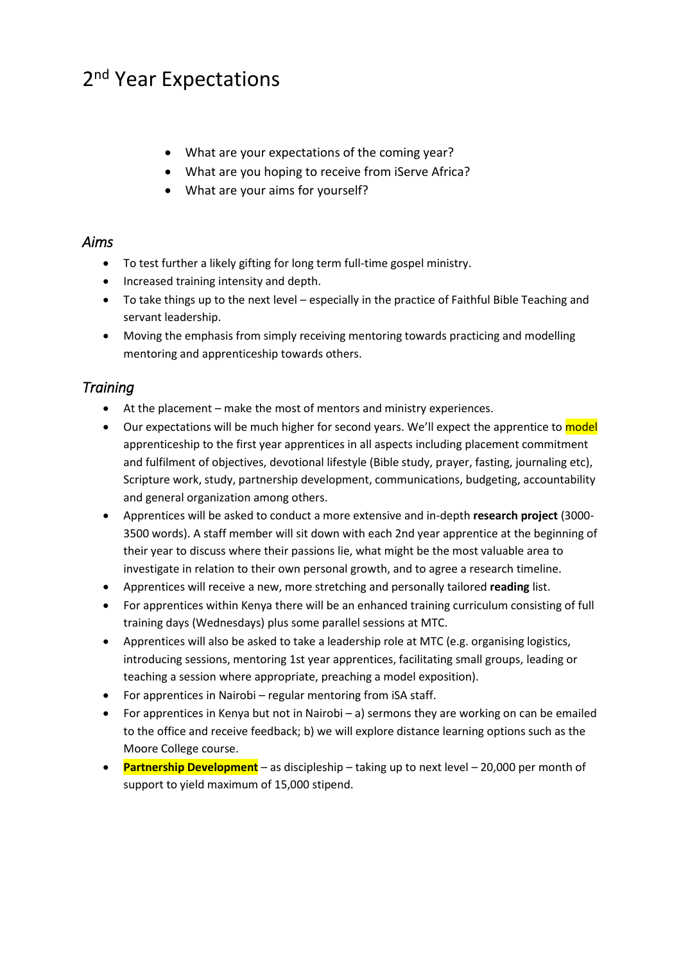# 2<sup>nd</sup> Year Expectations

- What are your expectations of the coming year?
- What are you hoping to receive from iServe Africa?
- What are your aims for yourself?

#### *Aims*

- To test further a likely gifting for long term full-time gospel ministry.
- Increased training intensity and depth.
- To take things up to the next level especially in the practice of Faithful Bible Teaching and servant leadership.
- Moving the emphasis from simply receiving mentoring towards practicing and modelling mentoring and apprenticeship towards others.

### *Training*

- At the placement make the most of mentors and ministry experiences.
- Our expectations will be much higher for second years. We'll expect the apprentice to model apprenticeship to the first year apprentices in all aspects including placement commitment and fulfilment of objectives, devotional lifestyle (Bible study, prayer, fasting, journaling etc), Scripture work, study, partnership development, communications, budgeting, accountability and general organization among others.
- Apprentices will be asked to conduct a more extensive and in-depth **research project** (3000- 3500 words). A staff member will sit down with each 2nd year apprentice at the beginning of their year to discuss where their passions lie, what might be the most valuable area to investigate in relation to their own personal growth, and to agree a research timeline.
- Apprentices will receive a new, more stretching and personally tailored **reading** list.
- For apprentices within Kenya there will be an enhanced training curriculum consisting of full training days (Wednesdays) plus some parallel sessions at MTC.
- Apprentices will also be asked to take a leadership role at MTC (e.g. organising logistics, introducing sessions, mentoring 1st year apprentices, facilitating small groups, leading or teaching a session where appropriate, preaching a model exposition).
- For apprentices in Nairobi regular mentoring from iSA staff.
- For apprentices in Kenya but not in Nairobi a) sermons they are working on can be emailed to the office and receive feedback; b) we will explore distance learning options such as the Moore College course.
- **Partnership Development** as discipleship taking up to next level 20,000 per month of support to yield maximum of 15,000 stipend.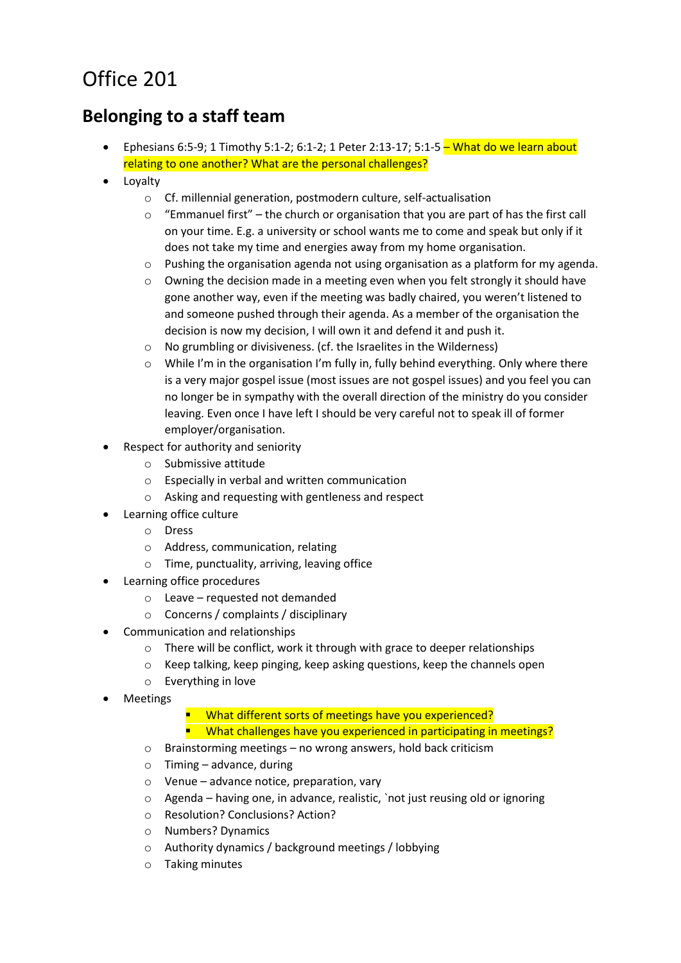## Office 201

## **Belonging to a staff team**

- Ephesians 6:5-9; 1 Timothy 5:1-2; 6:1-2; 1 Peter 2:13-17; 5:1-5 What do we learn about relating to one another? What are the personal challenges?
- Loyalty
	- o Cf. millennial generation, postmodern culture, self-actualisation
	- "Emmanuel first" the church or organisation that you are part of has the first call on your time. E.g. a university or school wants me to come and speak but only if it does not take my time and energies away from my home organisation.
	- o Pushing the organisation agenda not using organisation as a platform for my agenda.
	- o Owning the decision made in a meeting even when you felt strongly it should have gone another way, even if the meeting was badly chaired, you weren't listened to and someone pushed through their agenda. As a member of the organisation the decision is now my decision, I will own it and defend it and push it.
	- o No grumbling or divisiveness. (cf. the Israelites in the Wilderness)
	- o While I'm in the organisation I'm fully in, fully behind everything. Only where there is a very major gospel issue (most issues are not gospel issues) and you feel you can no longer be in sympathy with the overall direction of the ministry do you consider leaving. Even once I have left I should be very careful not to speak ill of former employer/organisation.
- Respect for authority and seniority
	- o Submissive attitude
	- o Especially in verbal and written communication
	- o Asking and requesting with gentleness and respect
- Learning office culture
	- o Dress
	- o Address, communication, relating
	- o Time, punctuality, arriving, leaving office
- Learning office procedures
	- o Leave requested not demanded
	- o Concerns / complaints / disciplinary
- Communication and relationships
	- o There will be conflict, work it through with grace to deeper relationships
	- o Keep talking, keep pinging, keep asking questions, keep the channels open
	- o Everything in love
- Meetings

■ What different sorts of meetings have you experienced?

- **What challenges have you experienced in participating in meetings?**
- o Brainstorming meetings no wrong answers, hold back criticism
- o Timing advance, during
- o Venue advance notice, preparation, vary
- o Agenda having one, in advance, realistic, `not just reusing old or ignoring
- o Resolution? Conclusions? Action?
- o Numbers? Dynamics
- o Authority dynamics / background meetings / lobbying
- o Taking minutes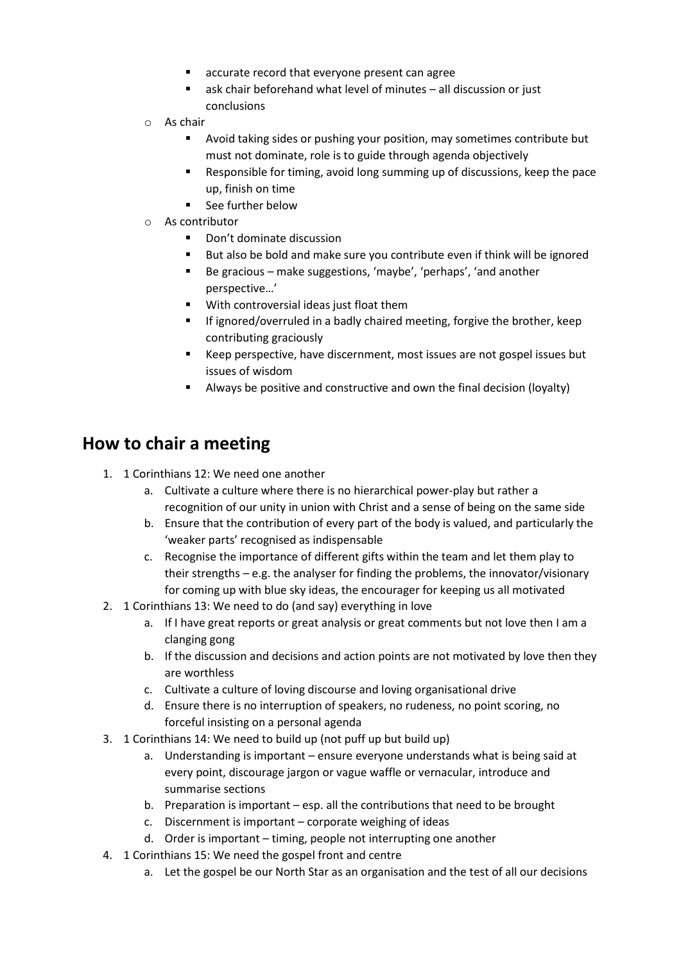- accurate record that everyone present can agree
- ask chair beforehand what level of minutes all discussion or just conclusions
- o As chair
	- Avoid taking sides or pushing your position, may sometimes contribute but must not dominate, role is to guide through agenda objectively
	- Responsible for timing, avoid long summing up of discussions, keep the pace up, finish on time
	- See further below
- o As contributor
	- Don't dominate discussion
	- But also be bold and make sure you contribute even if think will be ignored
	- Be gracious make suggestions, 'maybe', 'perhaps', 'and another perspective…'
	- With controversial ideas just float them
	- If ignored/overruled in a badly chaired meeting, forgive the brother, keep contributing graciously
	- Keep perspective, have discernment, most issues are not gospel issues but issues of wisdom
	- Always be positive and constructive and own the final decision (loyalty)

## **How to chair a meeting**

- 1. 1 Corinthians 12: We need one another
	- a. Cultivate a culture where there is no hierarchical power-play but rather a recognition of our unity in union with Christ and a sense of being on the same side
	- b. Ensure that the contribution of every part of the body is valued, and particularly the 'weaker parts' recognised as indispensable
	- c. Recognise the importance of different gifts within the team and let them play to their strengths – e.g. the analyser for finding the problems, the innovator/visionary for coming up with blue sky ideas, the encourager for keeping us all motivated
- 2. 1 Corinthians 13: We need to do (and say) everything in love
	- a. If I have great reports or great analysis or great comments but not love then I am a clanging gong
	- b. If the discussion and decisions and action points are not motivated by love then they are worthless
	- c. Cultivate a culture of loving discourse and loving organisational drive
	- d. Ensure there is no interruption of speakers, no rudeness, no point scoring, no forceful insisting on a personal agenda
- 3. 1 Corinthians 14: We need to build up (not puff up but build up)
	- a. Understanding is important ensure everyone understands what is being said at every point, discourage jargon or vague waffle or vernacular, introduce and summarise sections
	- b. Preparation is important esp. all the contributions that need to be brought
	- c. Discernment is important corporate weighing of ideas
	- d. Order is important timing, people not interrupting one another
- 4. 1 Corinthians 15: We need the gospel front and centre
	- a. Let the gospel be our North Star as an organisation and the test of all our decisions